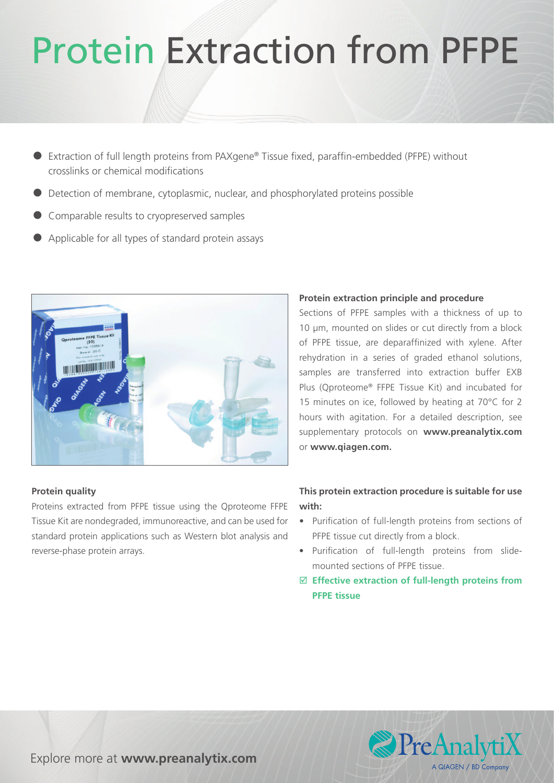# Protein Extraction from PFPE

- Extraction of full length proteins from PAXgene® Tissue fixed, paraffin-embedded (PFPE) without crosslinks or chemical modifications
- Detection of membrane, cytoplasmic, nuclear, and phosphorylated proteins possible
- Comparable results to cryopreserved samples
- Applicable for all types of standard protein assays



## **Protein quality**

Proteins extracted from PFPE tissue using the Qproteome FFPE Tissue Kit are nondegraded, immunoreactive, and can be used for standard protein applications such as Western blot analysis and reverse-phase protein arrays.

## **Protein extraction principle and procedure**

Sections of PFPE samples with a thickness of up to 10 µm, mounted on slides or cut directly from a block of PFPE tissue, are deparaffinized with xylene. After rehydration in a series of graded ethanol solutions, samples are transferred into extraction buffer EXB Plus (Qproteome® FFPE Tissue Kit) and incubated for 15 minutes on ice, followed by heating at 70°C for 2 hours with agitation. For a detailed description, see supplementary protocols on **www.preanalytix.com**  or **www.qiagen.com.**

# **This protein extraction procedure is suitable for use with:**

- • Purification of full-length proteins from sections of PFPE tissue cut directly from a block.
- • Purification of full-length proteins from slidemounted sections of PFPE tissue.
- þ **Effective extraction of full-length proteins from PFPE tissue**



Explore more at **www.preanalytix.com**